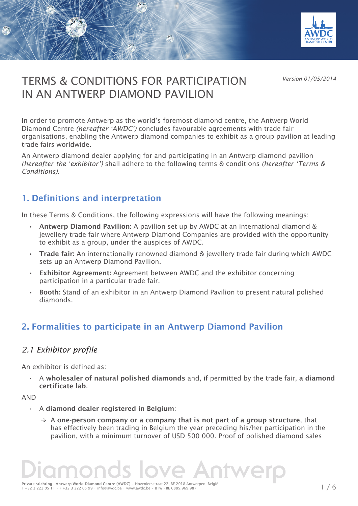

*Version 01/05/2014*

# TERMS & CONDITIONS FOR PARTICIPATION IN AN ANTWERP DIAMOND PAVILION

In order to promote Antwerp as the world's foremost diamond centre, the Antwerp World Diamond Centre *(hereafter 'AWDC')* concludes favourable agreements with trade fair organisations, enabling the Antwerp diamond companies to exhibit as a group pavilion at leading trade fairs worldwide.

An Antwerp diamond dealer applying for and participating in an Antwerp diamond pavilion *(hereafter the 'exhibitor')* shall adhere to the following terms & conditions *(hereafter 'Terms & Conditions).*

### 1. Definitions and interpretation

TERMINES FOR PARTICIPATIONS FOR PARTICIPATIONS FOR PARTICIPATIONS FOR PARTICIPATIONS FOR PARTICIPATIONS FOR PARTICIPATIONS FOR PARTICIPATIONS FOR PARTICIPATIONS FOR PARTICIPATIONS FOR PARTICIPATIONS FOR PARTICIPATIONS FOR

VAAN AND<del>WERP DIAMOND PAVILIA</del>

In these Terms & Conditions, the following expressions will have the following meanings:

- • Antwerp Diamond Pavilion: A pavilion set up by AWDC at an international diamond & jewellery trade fair where Antwerp Diamond Companies are provided with the opportunity to exhibit as a group, under the auspices of AWDC.
- Trade fair: An internationally renowned diamond & jewellery trade fair during which AWDC sets up an Antwerp Diamond Pavilion.
- • Exhibitor Agreement: Agreement between AWDC and the exhibitor concerning participation in a particular trade fair.
- Booth: Stand of an exhibitor in an Antwerp Diamond Pavilion to present natural polished diamonds.

## 2. Formalities to participate in an Antwerp Diamond Pavilion

#### *2.1 Exhibitor profile*

An exhibitor is defined as:

• A wholesaler of natural polished diamonds and, if permitted by the trade fair, a diamond certificate lab.

AND

- A diamond dealer registered in Belgium:
	- $\Rightarrow$  A one-person company or a company that is not part of a group structure, that has effectively been trading in Belgium the year preceding his/her participation in the pavilion, with a minimum turnover of USD 500 000. Proof of polished diamond sales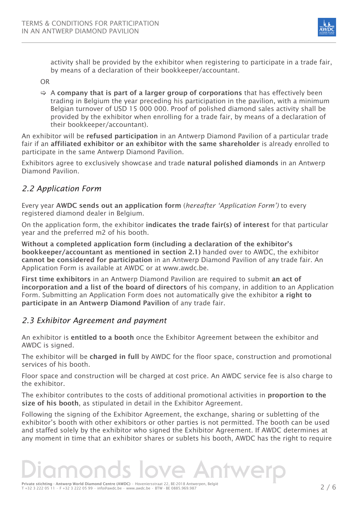

activity shall be provided by the exhibitor when registering to participate in a trade fair, by means of a declaration of their bookkeeper/accountant.

OR

 $\Rightarrow$  A company that is part of a larger group of corporations that has effectively been trading in Belgium the year preceding his participation in the pavilion, with a minimum Belgian turnover of USD 15 000 000. Proof of polished diamond sales activity shall be provided by the exhibitor when enrolling for a trade fair, by means of a declaration of their bookkeeper/accountant).

An exhibitor will be refused participation in an Antwerp Diamond Pavilion of a particular trade fair if an affiliated exhibitor or an exhibitor with the same shareholder is already enrolled to participate in the same Antwerp Diamond Pavilion.

Exhibitors agree to exclusively showcase and trade natural polished diamonds in an Antwerp Diamond Pavilion.

#### *2.2 Application Form*

Every year AWDC sends out an application form (*hereafter 'Application Form')* to every registered diamond dealer in Belgium.

On the application form, the exhibitor indicates the trade fair(s) of interest for that particular year and the preferred m2 of his booth.

Without a completed application form (including a declaration of the exhibitor's bookkeeper/accountant as mentioned in section 2.1) handed over to AWDC, the exhibitor cannot be considered for participation in an Antwerp Diamond Pavilion of any trade fair. An Application Form is available at AWDC or at www.awdc.be.

First time exhibitors in an Antwerp Diamond Pavilion are required to submit an act of incorporation and a list of the board of directors of his company, in addition to an Application Form. Submitting an Application Form does not automatically give the exhibitor a right to participate in an Antwerp Diamond Pavilion of any trade fair.

#### *2.3 Exhibitor Agreement and payment*

An exhibitor is entitled to a booth once the Exhibitor Agreement between the exhibitor and AWDC is signed.

The exhibitor will be charged in full by AWDC for the floor space, construction and promotional services of his booth.

Floor space and construction will be charged at cost price. An AWDC service fee is also charge to the exhibitor.

The exhibitor contributes to the costs of additional promotional activities in **proportion to the** size of his booth, as stipulated in detail in the Exhibitor Agreement.

Following the signing of the Exhibitor Agreement, the exchange, sharing or subletting of the exhibitor's booth with other exhibitors or other parties is not permitted. The booth can be used and staffed solely by the exhibitor who signed the Exhibitor Agreement. If AWDC determines at any moment in time that an exhibitor shares or sublets his booth, AWDC has the right to require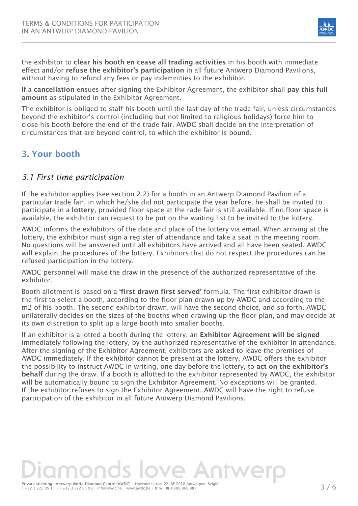

the exhibitor to clear his booth en cease all trading activities in his booth with immediate effect and/or refuse the exhibitor's participation in all future Antwerp Diamond Pavilions, without having to refund any fees or pay indemnities to the exhibitor.

If a cancellation ensues after signing the Exhibitor Agreement, the exhibitor shall pay this full amount as stipulated in the Exhibitor Agreement.

The exhibitor is obliged to staff his booth until the last day of the trade fair, unless circumstances beyond the exhibitor's control (including but not limited to religious holidays) force him to close his booth before the end of the trade fair. AWDC shall decide on the interpretation of circumstances that are beyond control, to which the exhibitor is bound.

## 3. Your booth

#### *3.1 First time participation*

If the exhibitor applies (see section 2.2) for a booth in an Antwerp Diamond Pavilion of a particular trade fair, in which he/she did not participate the year before, he shall be invited to participate in a lottery, provided floor space at the rade fair is still available. If no floor space is available, the exhibitor can request to be put on the waiting list to be invited to the lottery.

AWDC informs the exhibitors of the date and place of the lottery via email. When arriving at the lottery, the exhibitor must sign a register of attendance and take a seat in the meeting room. No questions will be answered until all exhibitors have arrived and all have been seated. AWDC will explain the procedures of the lottery. Exhibitors that do not respect the procedures can be refused participation in the lottery.

AWDC personnel will make the draw in the presence of the authorized representative of the exhibitor.

Booth allotment is based on a 'first drawn first served' formula. The first exhibitor drawn is the first to select a booth, according to the floor plan drawn up by AWDC and according to the m2 of his booth. The second exhibitor drawn, will have the second choice, and so forth. AWDC unilaterally decides on the sizes of the booths when drawing up the floor plan, and may decide at its own discretion to split up a large booth into smaller booths.

If an exhibitor is allotted a booth during the lottery, an Exhibitor Agreement will be signed immediately following the lottery, by the authorized representative of the exhibitor in attendance. After the signing of the Exhibitor Agreement, exhibitors are asked to leave the premises of AWDC immediately. If the exhibitor cannot be present at the lottery, AWDC offers the exhibitor the possibility to instruct AWDC in writing, one day before the lottery, to act on the exhibitor's behalf during the draw. If a booth is allotted to the exhibitor represented by AWDC, the exhibitor will be automatically bound to sign the Exhibitor Agreement. No exceptions will be granted. If the exhibitor refuses to sign the Exhibitor Agreement, AWDC will have the right to refuse participation of the exhibitor in all future Antwerp Diamond Pavilions.

The strated Structure of the strategy of the strategy of the structure of the strategy of the strategy of the strategy of  $\sim$   $\sim$  3  $\neq$  6  $\sim$  7  $\sim$  5  $\sim$  6  $\sim$  7  $\sim$  3  $\sim$  6  $\sim$  7  $\sim$  7  $\sim$  3  $\sim$  6  $\sim$  7  $\$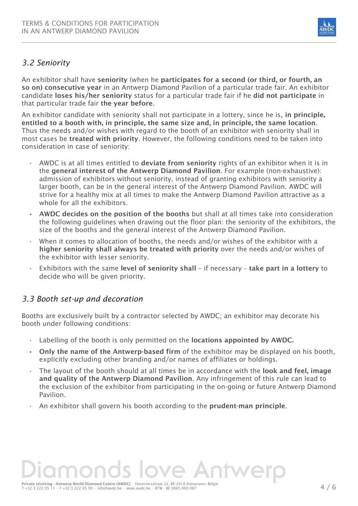

### *3.2 Seniority*

An exhibitor shall have seniority (when he participates for a second (or third, or fourth, an so on) consecutive year in an Antwerp Diamond Pavilion of a particular trade fair. An exhibitor candidate loses his/her seniority status for a particular trade fair if he did not participate in that particular trade fair the year before.

An exhibitor candidate with seniority shall not participate in a lottery, since he is, in principle, entitled to a booth with, in principle, the same size and, in principle, the same location. Thus the needs and/or wishes with regard to the booth of an exhibitor with seniority shall in most cases be treated with priority. However, the following conditions need to be taken into consideration in case of seniority:

- $\cdot$  AWDC is at all times entitled to **deviate from seniority** rights of an exhibitor when it is in the general interest of the Antwerp Diamond Pavilion. For example (non-exhaustive): admission of exhibitors without seniority, instead of granting exhibitors with seniority a larger booth, can be in the general interest of the Antwerp Diamond Pavilion. AWDC will strive for a healthy mix at all times to make the Antwerp Diamond Pavilion attractive as a whole for all the exhibitors.
- AWDC decides on the position of the booths but shall at all times take into consideration the following guidelines when drawing out the floor plan: the seniority of the exhibitors, the size of the booths and the general interest of the Antwerp Diamond Pavilion.
- When it comes to allocation of booths, the needs and/or wishes of the exhibitor with a higher seniority shall always be treated with priority over the needs and/or wishes of the exhibitor with lesser seniority.
- Exhibitors with the same level of seniority shall if necessary take part in a lottery to decide who will be given priority.

#### *3.3 Booth set-up and decoration*

Booths are exclusively built by a contractor selected by AWDC; an exhibitor may decorate his booth under following conditions:

- Labelling of the booth is only permitted on the **locations appointed by AWDC.**
- $\cdot$  Only the name of the Antwerp-based firm of the exhibitor may be displayed on his booth, explicitly excluding other branding and/or names of affiliates or holdings.
- The layout of the booth should at all times be in accordance with the **look and feel, image** and quality of the Antwerp Diamond Pavilion. Any infringement of this rule can lead to the exclusion of the exhibitor from participating in the on-going or future Antwerp Diamond Pavilion.
- An exhibitor shall govern his booth according to the prudent-man principle.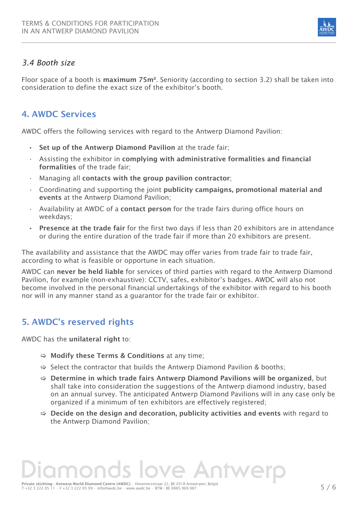

#### *3.4 Booth size*

Floor space of a booth is maximum 75m². Seniority (according to section 3.2) shall be taken into consideration to define the exact size of the exhibitor's booth.

### 4. AWDC Services

AWDC offers the following services with regard to the Antwerp Diamond Pavilion:

- Set up of the Antwerp Diamond Pavilion at the trade fair;
- Assisting the exhibitor in complying with administrative formalities and financial formalities of the trade fair;
- Managing all contacts with the group pavilion contractor;
- Coordinating and supporting the joint publicity campaigns, promotional material and events at the Antwerp Diamond Pavilion:
- Availability at AWDC of a contact person for the trade fairs during office hours on weekdays;
- **Presence at the trade fair for the first two days if less than 20 exhibitors are in attendance** or during the entire duration of the trade fair if more than 20 exhibitors are present.

The availability and assistance that the AWDC may offer varies from trade fair to trade fair, according to what is feasible or opportune in each situation.

AWDC can never be held liable for services of third parties with regard to the Antwerp Diamond Pavilion, for example (non-exhaustive): CCTV, safes, exhibitor's badges. AWDC will also not become involved in the personal financial undertakings of the exhibitor with regard to his booth nor will in any manner stand as a guarantor for the trade fair or exhibitor.

## 5. AWDC's reserved rights

AWDC has the **unilateral right to:** 

- $\Rightarrow$  Modify these Terms & Conditions at any time;
- $\Rightarrow$  Select the contractor that builds the Antwerp Diamond Pavilion & booths;
- $\Rightarrow$  Determine in which trade fairs Antwerp Diamond Pavilions will be organized, but shall take into consideration the suggestions of the Antwerp diamond industry, based on an annual survey. The anticipated Antwerp Diamond Pavilions will in any case only be organized if a minimum of ten exhibitors are effectively registered;
- $\Rightarrow$  Decide on the design and decoration, publicity activities and events with regard to the Antwerp Diamond Pavilion;